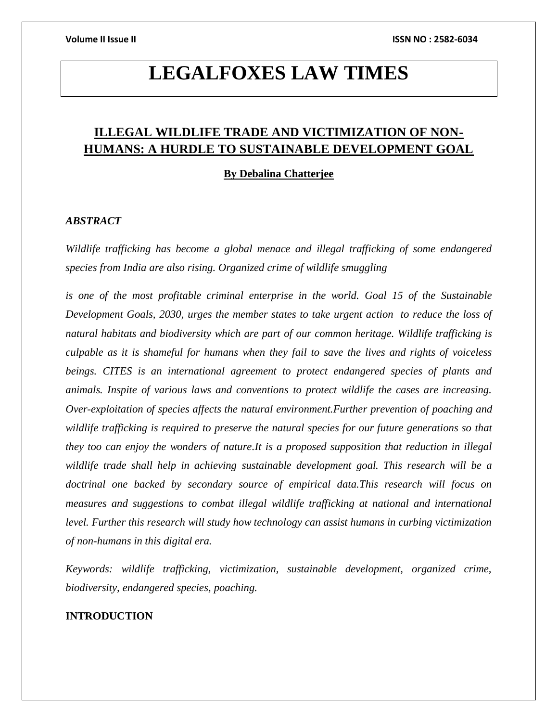# **LEGALFOXES LAW TIMES**

# **ILLEGAL WILDLIFE TRADE AND VICTIMIZATION OF NON-HUMANS: A HURDLE TO SUSTAINABLE DEVELOPMENT GOAL**

**By Debalina Chatterjee**

# *ABSTRACT*

*Wildlife trafficking has become a global menace and illegal trafficking of some endangered species from India are also rising. Organized crime of wildlife smuggling*

*is one of the most profitable criminal enterprise in the world. Goal 15 of the Sustainable Development Goals, 2030, urges the member states to take urgent action to reduce the loss of natural habitats and biodiversity which are part of our common heritage. Wildlife trafficking is culpable as it is shameful for humans when they fail to save the lives and rights of voiceless beings. CITES is an international agreement to protect endangered species of plants and animals. Inspite of various laws and conventions to protect wildlife the cases are increasing. Over-exploitation of species affects the natural environment.Further prevention of poaching and wildlife trafficking is required to preserve the natural species for our future generations so that they too can enjoy the wonders of nature.It is a proposed supposition that reduction in illegal wildlife trade shall help in achieving sustainable development goal. This research will be a doctrinal one backed by secondary source of empirical data.This research will focus on measures and suggestions to combat illegal wildlife trafficking at national and international level. Further this research will study how technology can assist humans in curbing victimization of non-humans in this digital era.*

*Keywords: wildlife trafficking, victimization, sustainable development, organized crime, biodiversity, endangered species, poaching.* 

# **INTRODUCTION**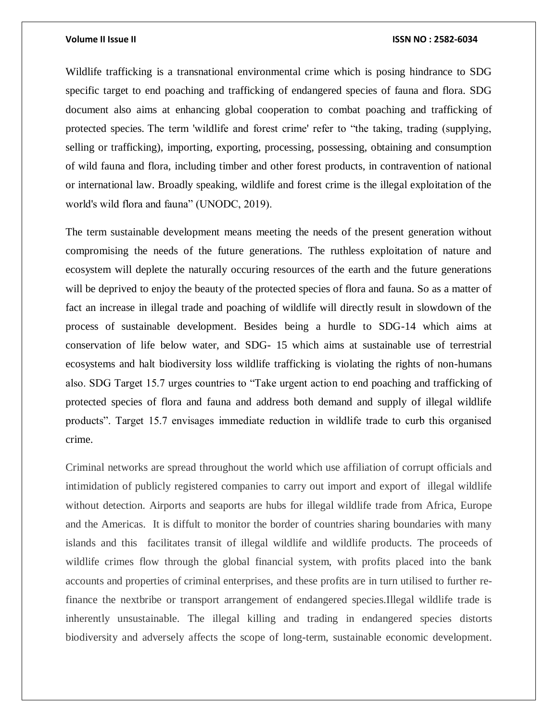Wildlife trafficking is a transnational environmental crime which is posing hindrance to SDG specific target to end poaching and trafficking of endangered species of fauna and flora. SDG document also aims at enhancing global cooperation to combat poaching and trafficking of protected species. The term 'wildlife and forest crime' refer to "the taking, trading (supplying, selling or trafficking), importing, exporting, processing, possessing, obtaining and consumption of wild fauna and flora, including timber and other forest products, in contravention of national or international law. Broadly speaking, wildlife and forest crime is the illegal exploitation of the world's wild flora and fauna" (UNODC, 2019).

The term sustainable development means meeting the needs of the present generation without compromising the needs of the future generations. The ruthless exploitation of nature and ecosystem will deplete the naturally occuring resources of the earth and the future generations will be deprived to enjoy the beauty of the protected species of flora and fauna. So as a matter of fact an increase in illegal trade and poaching of wildlife will directly result in slowdown of the process of sustainable development. Besides being a hurdle to SDG-14 which aims at conservation of life below water, and SDG- 15 which aims at sustainable use of terrestrial ecosystems and halt biodiversity loss wildlife trafficking is violating the rights of non-humans also. SDG Target 15.7 urges countries to "Take urgent action to end poaching and trafficking of protected species of flora and fauna and address both demand and supply of illegal wildlife products". Target 15.7 envisages immediate reduction in wildlife trade to curb this organised crime.

Criminal networks are spread throughout the world which use affiliation of corrupt officials and intimidation of publicly registered companies to carry out import and export of illegal wildlife without detection. Airports and seaports are hubs for illegal wildlife trade from Africa, Europe and the Americas. It is diffult to monitor the border of countries sharing boundaries with many islands and this facilitates transit of illegal wildlife and wildlife products. The proceeds of wildlife crimes flow through the global financial system, with profits placed into the bank accounts and properties of criminal enterprises, and these profits are in turn utilised to further refinance the nextbribe or transport arrangement of endangered species.Illegal wildlife trade is inherently unsustainable. The illegal killing and trading in endangered species distorts biodiversity and adversely affects the scope of long-term, sustainable economic development.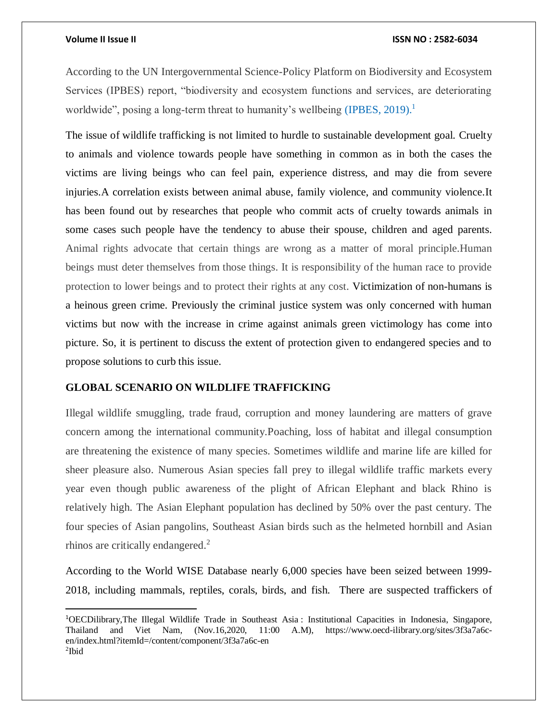$\overline{a}$ 

According to the UN Intergovernmental Science-Policy Platform on Biodiversity and Ecosystem Services (IPBES) report, "biodiversity and ecosystem functions and services, are deteriorating worldwide", posing a long-term threat to humanity's wellbeing (IPBES, 2019).<sup>1</sup>

The issue of wildlife trafficking is not limited to hurdle to sustainable development goal. Cruelty to animals and violence towards people have something in common as in both the cases the victims are living beings who can feel pain, experience distress, and may die from severe injuries.A correlation exists between animal abuse, family violence, and community violence.It has been found out by researches that people who commit acts of cruelty towards animals in some cases such people have the tendency to abuse their spouse, children and aged parents. Animal rights advocate that certain things are wrong as a matter of moral principle.Human beings must deter themselves from those things. It is responsibility of the human race to provide protection to lower beings and to protect their rights at any cost. Victimization of non-humans is a heinous green crime. Previously the criminal justice system was only concerned with human victims but now with the increase in crime against animals green victimology has come into picture. So, it is pertinent to discuss the extent of protection given to endangered species and to propose solutions to curb this issue.

## **GLOBAL SCENARIO ON WILDLIFE TRAFFICKING**

Illegal wildlife smuggling, trade fraud, corruption and money laundering are matters of grave concern among the international community.Poaching, loss of habitat and illegal consumption are threatening the existence of many species. Sometimes wildlife and marine life are killed for sheer pleasure also. Numerous Asian species fall prey to illegal wildlife traffic markets every year even though public awareness of the plight of African Elephant and black Rhino is relatively high. The Asian Elephant population has declined by 50% over the past century. The four species of Asian pangolins, Southeast Asian birds such as the helmeted hornbill and Asian rhinos are critically endangered. 2

According to the World WISE Database nearly 6,000 species have been seized between 1999- 2018, including mammals, reptiles, corals, birds, and fish. There are suspected traffickers of

<sup>1</sup>OECDilibrary,The Illegal Wildlife Trade in Southeast Asia : Institutional Capacities in Indonesia, Singapore, Thailand and Viet Nam, (Nov.16,2020, 11:00 A.M), https://www.oecd-ilibrary.org/sites/3f3a7a6cen/index.html?itemId=/content/component/3f3a7a6c-en 2 Ibid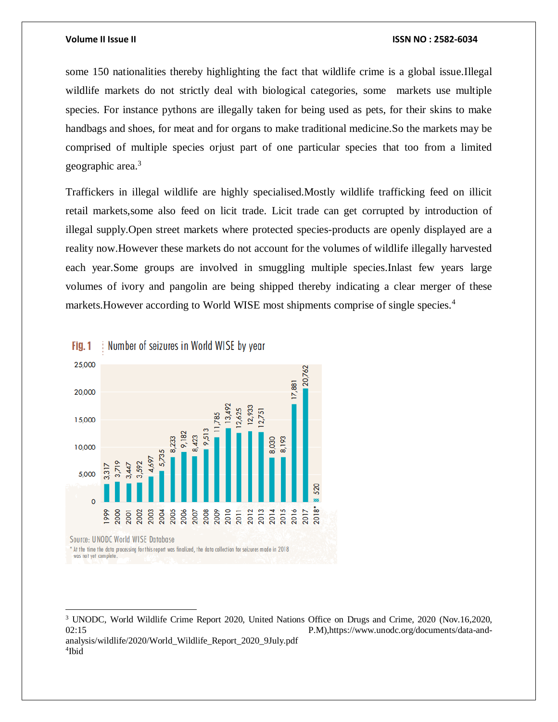some 150 nationalities thereby highlighting the fact that wildlife crime is a global issue.Illegal wildlife markets do not strictly deal with biological categories, some markets use multiple species. For instance pythons are illegally taken for being used as pets, for their skins to make handbags and shoes, for meat and for organs to make traditional medicine.So the markets may be comprised of multiple species orjust part of one particular species that too from a limited geographic area.<sup>3</sup>

Traffickers in illegal wildlife are highly specialised.Mostly wildlife trafficking feed on illicit retail markets,some also feed on licit trade. Licit trade can get corrupted by introduction of illegal supply.Open street markets where protected species-products are openly displayed are a reality now.However these markets do not account for the volumes of wildlife illegally harvested each year.Some groups are involved in smuggling multiple species.Inlast few years large volumes of ivory and pangolin are being shipped thereby indicating a clear merger of these markets. However according to World WISE most shipments comprise of single species.<sup>4</sup>



 $Fig. 1$ Number of seizures in World WISE by year

analysis/wildlife/2020/World\_Wildlife\_Report\_2020\_9July.pdf 4 Ibid

 $\overline{a}$ 

<sup>3</sup> UNODC, World Wildlife Crime Report 2020, United Nations Office on Drugs and Crime, 2020 (Nov.16,2020, 02:15 P.M),https://www.unodc.org/documents/data-and-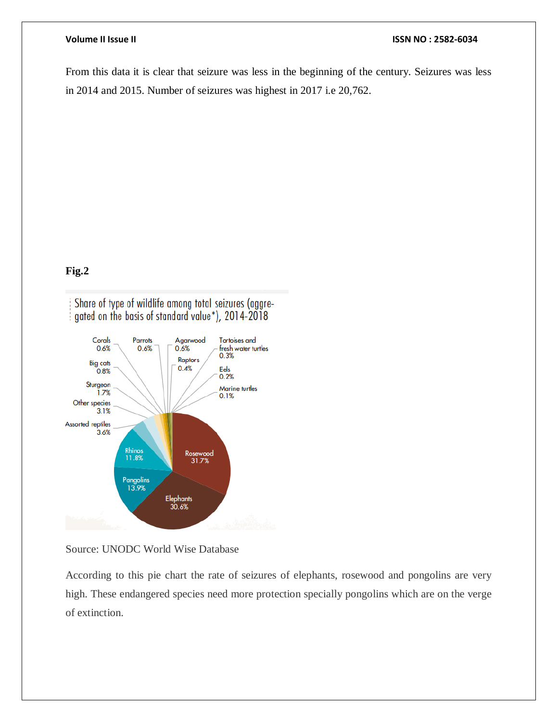From this data it is clear that seizure was less in the beginning of the century. Seizures was less in 2014 and 2015. Number of seizures was highest in 2017 i.e 20,762.

# **Fig.2**

Share of type of wildlife among total seizures (aggregated on the basis of standard value\*), 2014-2018



Source: UNODC World Wise Database

According to this pie chart the rate of seizures of elephants, rosewood and pongolins are very high. These endangered species need more protection specially pongolins which are on the verge of extinction.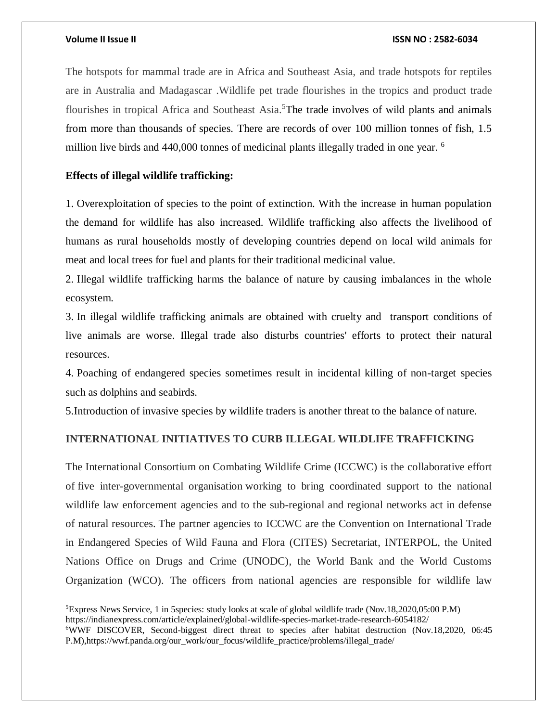$\overline{\phantom{a}}$ 

### **Volume II Issue II ISSN NO : 2582-6034**

The hotspots for mammal trade are in Africa and Southeast Asia, and trade hotspots for reptiles are in Australia and Madagascar .Wildlife pet trade flourishes in the tropics and product trade flourishes in tropical Africa and Southeast Asia. <sup>5</sup>The trade involves of wild plants and animals from more than thousands of species. There are records of over 100 million tonnes of fish, 1.5 million live birds and 440,000 tonnes of medicinal plants illegally traded in one year. <sup>6</sup>

# **Effects of illegal wildlife trafficking:**

1. Overexploitation of species to the point of extinction. With the increase in human population the demand for wildlife has also increased. Wildlife trafficking also affects the livelihood of humans as rural households mostly of developing countries depend on local wild animals for meat and local trees for fuel and plants for their traditional medicinal value.

2. Illegal wildlife trafficking harms the balance of nature by causing imbalances in the whole ecosystem.

3. In illegal wildlife trafficking animals are obtained with cruelty and transport conditions of live animals are worse. Illegal trade also disturbs countries' efforts to protect their natural resources.

4. Poaching of endangered species sometimes result in incidental killing of non-target species such as dolphins and seabirds.

5.Introduction of invasive species by wildlife traders is another threat to the balance of nature.

# **INTERNATIONAL INITIATIVES TO CURB ILLEGAL WILDLIFE TRAFFICKING**

The International Consortium on Combating Wildlife Crime (ICCWC) is the collaborative effort of five inter-governmental organisation working to bring coordinated support to the national wildlife law enforcement agencies and to the sub-regional and regional networks act in defense of natural resources. The partner agencies to ICCWC are the Convention on International Trade in Endangered Species of Wild Fauna and Flora (CITES) Secretariat, INTERPOL, the United Nations Office on Drugs and Crime (UNODC), the World Bank and the World Customs Organization (WCO). The officers from national agencies are responsible for wildlife law

<sup>5</sup>Express News Service, 1 in 5species: study looks at scale of global wildlife trade (Nov.18,2020,05:00 P.M) https://indianexpress.com/article/explained/global-wildlife-species-market-trade-research-6054182/

<sup>6</sup>WWF DISCOVER, Second-biggest direct threat to species after habitat destruction (Nov.18,2020, 06:45 P.M),https://wwf.panda.org/our\_work/our\_focus/wildlife\_practice/problems/illegal\_trade/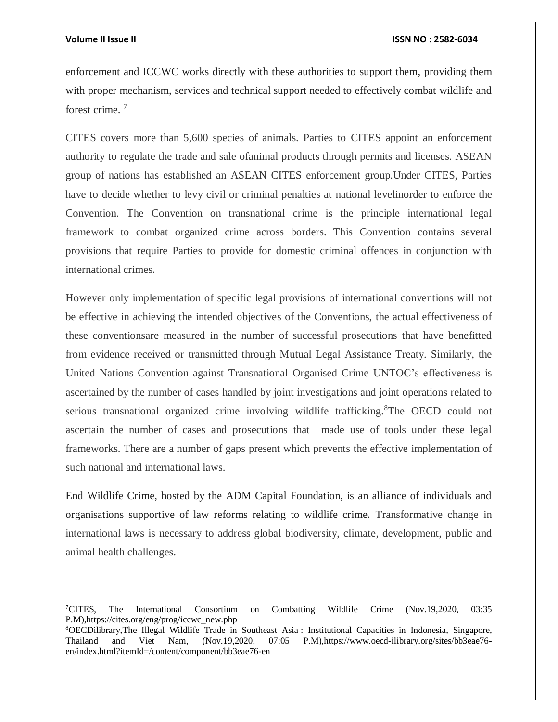$\overline{\phantom{a}}$ 

### **Volume II Issue II ISSN NO : 2582-6034**

enforcement and ICCWC works directly with these authorities to support them, providing them with proper mechanism, services and technical support needed to effectively combat wildlife and forest crime. <sup>7</sup>

CITES covers more than 5,600 species of animals. Parties to CITES appoint an enforcement authority to regulate the trade and sale ofanimal products through permits and licenses. ASEAN group of nations has established an ASEAN CITES enforcement group.Under CITES, Parties have to decide whether to levy civil or criminal penalties at national levelinorder to enforce the Convention. The Convention on transnational crime is the principle international legal framework to combat organized crime across borders. This Convention contains several provisions that require Parties to provide for domestic criminal offences in conjunction with international crimes.

However only implementation of specific legal provisions of international conventions will not be effective in achieving the intended objectives of the Conventions, the actual effectiveness of these conventionsare measured in the number of successful prosecutions that have benefitted from evidence received or transmitted through Mutual Legal Assistance Treaty. Similarly, the United Nations Convention against Transnational Organised Crime UNTOC's effectiveness is ascertained by the number of cases handled by joint investigations and joint operations related to serious transnational organized crime involving wildlife trafficking.<sup>8</sup>The OECD could not ascertain the number of cases and prosecutions that made use of tools under these legal frameworks. There are a number of gaps present which prevents the effective implementation of such national and international laws.

End Wildlife Crime, hosted by the ADM Capital Foundation, is an alliance of individuals and organisations supportive of law reforms relating to wildlife crime. Transformative change in international laws is necessary to address global biodiversity, climate, development, public and animal health challenges.

<sup>7</sup>CITES, The International Consortium on Combatting Wildlife Crime (Nov.19,2020, 03:35 P.M),https://cites.org/eng/prog/iccwc\_new.php

<sup>8</sup>OECDilibrary,The Illegal Wildlife Trade in Southeast Asia : Institutional Capacities in Indonesia, Singapore, Thailand and Viet Nam, (Nov.19,2020, 07:05 P.M),https://www.oecd-ilibrary.org/sites/bb3eae76 en/index.html?itemId=/content/component/bb3eae76-en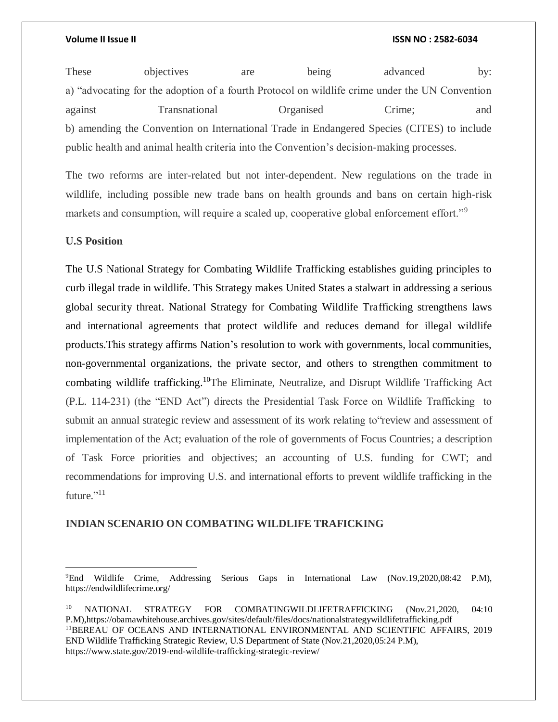These objectives are being advanced by: a) "advocating for the adoption of a fourth Protocol on wildlife crime under the UN Convention against Transnational Organised Crime; and b) amending the Convention on International Trade in Endangered Species (CITES) to include public health and animal health criteria into the Convention's decision-making processes.

The two reforms are inter-related but not inter-dependent. New regulations on the trade in wildlife, including possible new trade bans on health grounds and bans on certain high-risk markets and consumption, will require a scaled up, cooperative global enforcement effort."<sup>9</sup>

# **U.S Position**

 $\overline{a}$ 

The U.S National Strategy for Combating Wildlife Trafficking establishes guiding principles to curb illegal trade in wildlife. This Strategy makes United States a stalwart in addressing a serious global security threat. National Strategy for Combating Wildlife Trafficking strengthens laws and international agreements that protect wildlife and reduces demand for illegal wildlife products.This strategy affirms Nation's resolution to work with governments, local communities, non-governmental organizations, the private sector, and others to strengthen commitment to combating wildlife trafficking.<sup>10</sup>The Eliminate, Neutralize, and Disrupt Wildlife Trafficking Act (P.L. 114-231) (the "END Act") directs the Presidential Task Force on Wildlife Trafficking to submit an annual strategic review and assessment of its work relating to"review and assessment of implementation of the Act; evaluation of the role of governments of Focus Countries; a description of Task Force priorities and objectives; an accounting of U.S. funding for CWT; and recommendations for improving U.S. and international efforts to prevent wildlife trafficking in the future."<sup>11</sup>

# **INDIAN SCENARIO ON COMBATING WILDLIFE TRAFICKING**

<sup>9</sup>End Wildlife Crime, Addressing Serious Gaps in International Law (Nov.19,2020,08:42 P.M), https://endwildlifecrime.org/

<sup>&</sup>lt;sup>10</sup> NATIONAL STRATEGY FOR COMBATINGWILDLIFETRAFFICKING (Nov.21,2020, 04:10) P.M),https://obamawhitehouse.archives.gov/sites/default/files/docs/nationalstrategywildlifetrafficking.pdf <sup>11</sup>BEREAU OF OCEANS AND INTERNATIONAL ENVIRONMENTAL AND SCIENTIFIC AFFAIRS, 2019 END Wildlife Trafficking Strategic Review, U.S Department of State (Nov.21,2020,05:24 P.M), https://www.state.gov/2019-end-wildlife-trafficking-strategic-review/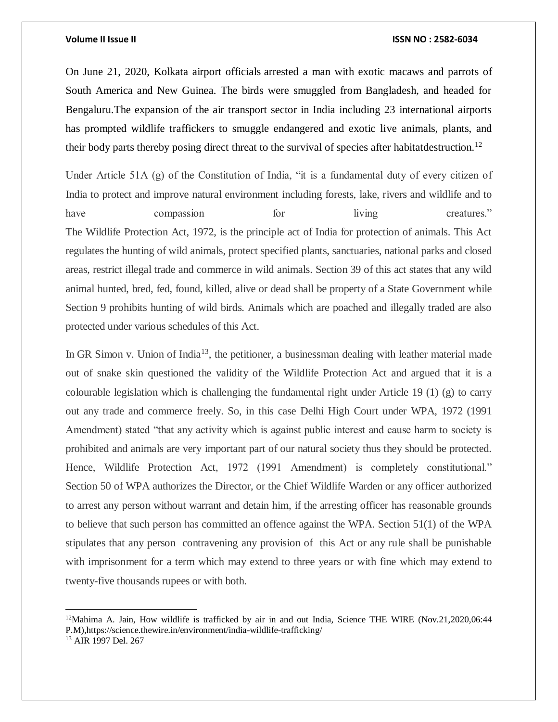On June 21, 2020, Kolkata airport officials arrested a man with exotic macaws and parrots of South America and New Guinea. The birds were smuggled from Bangladesh, and headed for Bengaluru.The expansion of the air transport sector in India including 23 international airports has prompted wildlife traffickers to smuggle endangered and exotic live animals, plants, and their body parts thereby posing direct threat to the survival of species after habitatdestruction.<sup>12</sup>

Under Article 51A (g) of the Constitution of India, "it is a fundamental duty of every citizen of India to protect and improve natural environment including forests, lake, rivers and wildlife and to have compassion for living creatures." The Wildlife Protection Act, 1972, is the principle act of India for protection of animals. This Act regulates the hunting of wild animals, protect specified plants, sanctuaries, national parks and closed areas, restrict illegal trade and commerce in wild animals. Section 39 of this act states that any wild animal hunted, bred, fed, found, killed, alive or dead shall be property of a State Government while Section 9 prohibits hunting of wild birds. Animals which are poached and illegally traded are also protected under various schedules of this Act.

In GR Simon v. Union of India<sup>13</sup>, the petitioner, a businessman dealing with leather material made out of snake skin questioned the validity of the Wildlife Protection Act and argued that it is a colourable legislation which is challenging the fundamental right under Article 19 (1) (g) to carry out any trade and commerce freely. So, in this case Delhi High Court under WPA, 1972 (1991 Amendment) stated "that any activity which is against public interest and cause harm to society is prohibited and animals are very important part of our natural society thus they should be protected. Hence, Wildlife Protection Act, 1972 (1991 Amendment) is completely constitutional." Section 50 of WPA authorizes the Director, or the Chief Wildlife Warden or any officer authorized to arrest any person without warrant and detain him, if the arresting officer has reasonable grounds to believe that such person has committed an offence against the WPA. Section 51(1) of the WPA stipulates that any person contravening any provision of this Act or any rule shall be punishable with imprisonment for a term which may extend to three years or with fine which may extend to twenty-five thousands rupees or with both.

 $\overline{a}$ 

 $12$ Mahima A. Jain, How wildlife is trafficked by air in and out India, Science THE WIRE (Nov.21,2020,06:44) P.M),https://science.thewire.in/environment/india-wildlife-trafficking/

<sup>13</sup> AIR 1997 Del. 267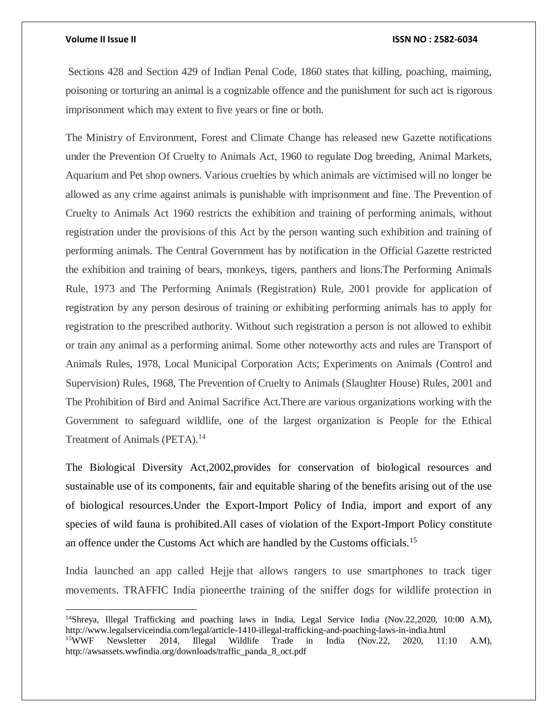$\overline{a}$ 

### **Volume II Issue II ISSN NO : 2582-6034**

Sections 428 and Section 429 of Indian Penal Code, 1860 states that killing, poaching, maiming, poisoning or torturing an animal is a cognizable offence and the punishment for such act is rigorous imprisonment which may extent to five years or fine or both.

The Ministry of Environment, Forest and Climate Change has released new Gazette notifications under the Prevention Of Cruelty to Animals Act, 1960 to regulate Dog breeding, Animal Markets, Aquarium and Pet shop owners. Various cruelties by which animals are victimised will no longer be allowed as any crime against animals is punishable with imprisonment and fine. The Prevention of Cruelty to Animals Act 1960 restricts the exhibition and training of performing animals, without registration under the provisions of this Act by the person wanting such exhibition and training of performing animals. The Central Government has by notification in the Official Gazette restricted the exhibition and training of bears, monkeys, tigers, panthers and lions.The Performing Animals Rule, 1973 and The Performing Animals (Registration) Rule, 2001 provide for application of registration by any person desirous of training or exhibiting performing animals has to apply for registration to the prescribed authority. Without such registration a person is not allowed to exhibit or train any animal as a performing animal. Some other noteworthy acts and rules are Transport of Animals Rules, 1978, Local Municipal Corporation Acts; Experiments on Animals (Control and Supervision) Rules, 1968, The Prevention of Cruelty to Animals (Slaughter House) Rules, 2001 and The Prohibition of Bird and Animal Sacrifice Act.There are various organizations working with the Government to safeguard wildlife, one of the largest organization is People for the Ethical Treatment of Animals (PETA).<sup>14</sup>

The Biological Diversity Act,2002,provides for conservation of biological resources and sustainable use of its components, fair and equitable sharing of the benefits arising out of the use of biological resources.Under the Export-Import Policy of India, import and export of any species of wild fauna is prohibited.All cases of violation of the Export-Import Policy constitute an offence under the Customs Act which are handled by the Customs officials.<sup>15</sup>

India launched an app called Hejje that allows rangers to use smartphones to track tiger movements. TRAFFIC India pioneerthe training of the sniffer dogs for wildlife protection in

<sup>14</sup>Shreya, Illegal Trafficking and poaching laws in India, Legal Service India (Nov.22,2020, 10:00 A.M), http://www.legalserviceindia.com/legal/article-1410-illegal-trafficking-and-poaching-laws-in-india.html <sup>15</sup>WWF Newsletter 2014, Illegal Wildlife Trade in India (Nov.22, 2020, 11:10 A.M), http://awsassets.wwfindia.org/downloads/traffic\_panda\_8\_oct.pdf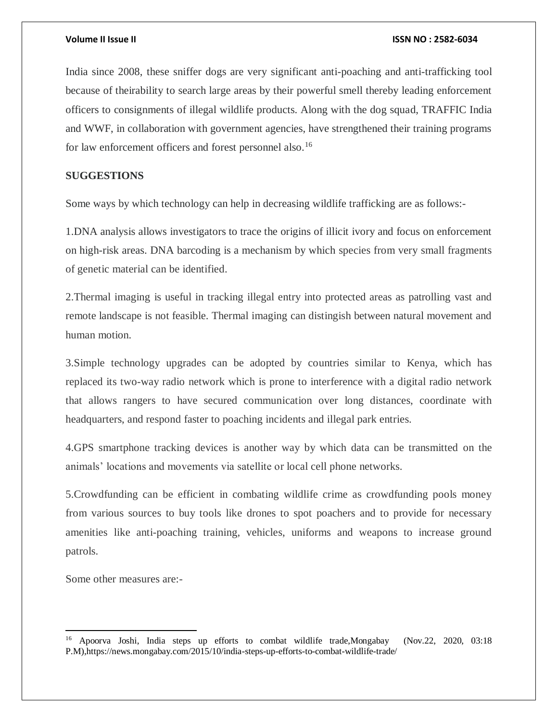India since 2008, these sniffer dogs are very significant anti-poaching and anti-trafficking tool because of theirability to search large areas by their powerful smell thereby leading enforcement officers to consignments of illegal wildlife products. Along with the dog squad, TRAFFIC India and WWF, in collaboration with government agencies, have strengthened their training programs for law enforcement officers and forest personnel also.<sup>16</sup>

# **SUGGESTIONS**

Some ways by which technology can help in decreasing wildlife trafficking are as follows:-

1.DNA analysis allows investigators to trace the origins of illicit ivory and focus on enforcement on high-risk areas. DNA barcoding is a mechanism by which species from very small fragments of genetic material can be identified.

2.Thermal imaging is useful in tracking illegal entry into protected areas as patrolling vast and remote landscape is not feasible. Thermal imaging can distingish between natural movement and human motion.

3.Simple technology upgrades can be adopted by countries similar to Kenya, which has replaced its two-way radio network which is prone to interference with a digital radio network that allows rangers to have secured communication over long distances, coordinate with headquarters, and respond faster to poaching incidents and illegal park entries.

4.GPS smartphone tracking devices is another way by which data can be transmitted on the animals' locations and movements via satellite or local cell phone networks.

5.Crowdfunding can be efficient in combating wildlife crime as crowdfunding pools money from various sources to buy tools like drones to spot poachers and to provide for necessary amenities like anti-poaching training, vehicles, uniforms and weapons to increase ground patrols.

Some other measures are:-

 $\overline{\phantom{a}}$ 

<sup>16</sup> Apoorva Joshi, India steps up efforts to combat wildlife trade,Mongabay (Nov.22, 2020, 03:18 P.M),https://news.mongabay.com/2015/10/india-steps-up-efforts-to-combat-wildlife-trade/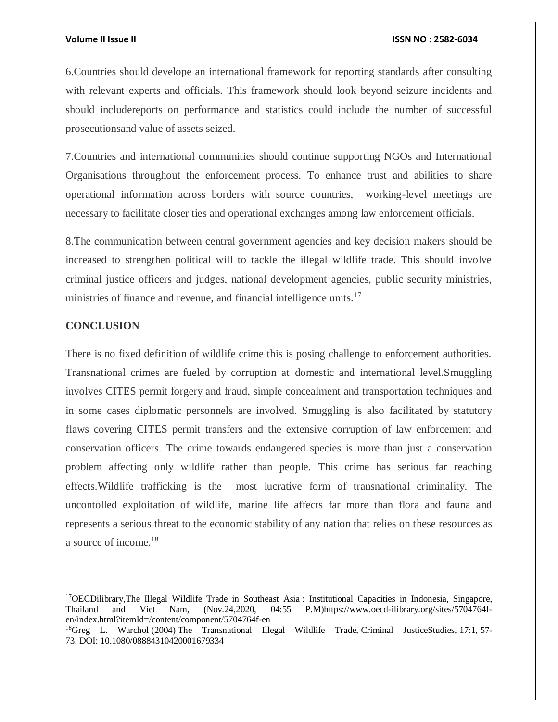6.Countries should develope an international framework for reporting standards after consulting with relevant experts and officials. This framework should look beyond seizure incidents and should includereports on performance and statistics could include the number of successful prosecutionsand value of assets seized.

7.Countries and international communities should continue supporting NGOs and International Organisations throughout the enforcement process. To enhance trust and abilities to share operational information across borders with source countries, working-level meetings are necessary to facilitate closer ties and operational exchanges among law enforcement officials.

8.The communication between central government agencies and key decision makers should be increased to strengthen political will to tackle the illegal wildlife trade. This should involve criminal justice officers and judges, national development agencies, public security ministries, ministries of finance and revenue, and financial intelligence units.<sup>17</sup>

# **CONCLUSION**

 $\overline{a}$ 

There is no fixed definition of wildlife crime this is posing challenge to enforcement authorities. Transnational crimes are fueled by corruption at domestic and international level.Smuggling involves CITES permit forgery and fraud, simple concealment and transportation techniques and in some cases diplomatic personnels are involved. Smuggling is also facilitated by statutory flaws covering CITES permit transfers and the extensive corruption of law enforcement and conservation officers. The crime towards endangered species is more than just a conservation problem affecting only wildlife rather than people. This crime has serious far reaching effects.Wildlife trafficking is the most lucrative form of transnational criminality. The uncontolled exploitation of wildlife, marine life affects far more than flora and fauna and represents a serious threat to the economic stability of any nation that relies on these resources as a source of income.<sup>18</sup>

<sup>17</sup>OECDilibrary,The Illegal Wildlife Trade in Southeast Asia : Institutional Capacities in Indonesia, Singapore, Thailand and Viet Nam, (Nov.24,2020, 04:55 P.M)https://www.oecd-ilibrary.org/sites/5704764fen/index.html?itemId=/content/component/5704764f-en

<sup>&</sup>lt;sup>18</sup>Greg L. Warchol (2004) The Transnational Illegal Wildlife Trade, Criminal JusticeStudies, 17:1, 57-73, DOI: [10.1080/08884310420001679334](https://doi.org/10.1080/08884310420001679334)